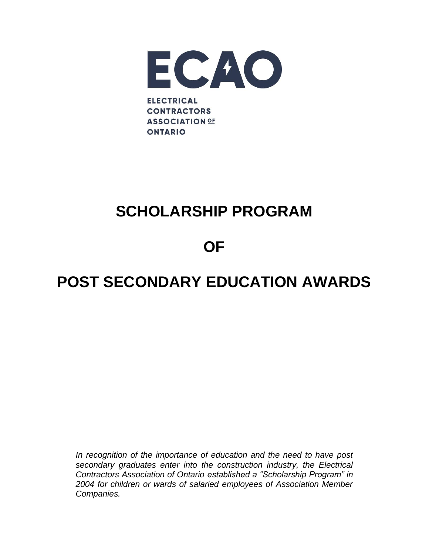

## **SCHOLARSHIP PROGRAM**

### **OF**

# **POST SECONDARY EDUCATION AWARDS**

*In recognition of the importance of education and the need to have post secondary graduates enter into the construction industry, the Electrical Contractors Association of Ontario established a "Scholarship Program" in 2004 for children or wards of salaried employees of Association Member Companies.*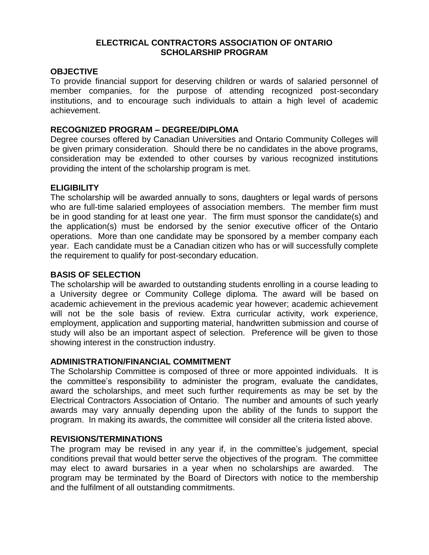#### **ELECTRICAL CONTRACTORS ASSOCIATION OF ONTARIO SCHOLARSHIP PROGRAM**

#### **OBJECTIVE**

To provide financial support for deserving children or wards of salaried personnel of member companies, for the purpose of attending recognized post-secondary institutions, and to encourage such individuals to attain a high level of academic achievement.

#### **RECOGNIZED PROGRAM – DEGREE/DIPLOMA**

Degree courses offered by Canadian Universities and Ontario Community Colleges will be given primary consideration. Should there be no candidates in the above programs, consideration may be extended to other courses by various recognized institutions providing the intent of the scholarship program is met.

#### **ELIGIBILITY**

The scholarship will be awarded annually to sons, daughters or legal wards of persons who are full-time salaried employees of association members. The member firm must be in good standing for at least one year. The firm must sponsor the candidate(s) and the application(s) must be endorsed by the senior executive officer of the Ontario operations. More than one candidate may be sponsored by a member company each year. Each candidate must be a Canadian citizen who has or will successfully complete the requirement to qualify for post-secondary education.

#### **BASIS OF SELECTION**

The scholarship will be awarded to outstanding students enrolling in a course leading to a University degree or Community College diploma. The award will be based on academic achievement in the previous academic year however; academic achievement will not be the sole basis of review. Extra curricular activity, work experience, employment, application and supporting material, handwritten submission and course of study will also be an important aspect of selection. Preference will be given to those showing interest in the construction industry.

#### **ADMINISTRATION/FINANCIAL COMMITMENT**

The Scholarship Committee is composed of three or more appointed individuals. It is the committee's responsibility to administer the program, evaluate the candidates, award the scholarships, and meet such further requirements as may be set by the Electrical Contractors Association of Ontario. The number and amounts of such yearly awards may vary annually depending upon the ability of the funds to support the program. In making its awards, the committee will consider all the criteria listed above.

#### **REVISIONS/TERMINATIONS**

The program may be revised in any year if, in the committee's judgement, special conditions prevail that would better serve the objectives of the program. The committee may elect to award bursaries in a year when no scholarships are awarded. The program may be terminated by the Board of Directors with notice to the membership and the fulfilment of all outstanding commitments.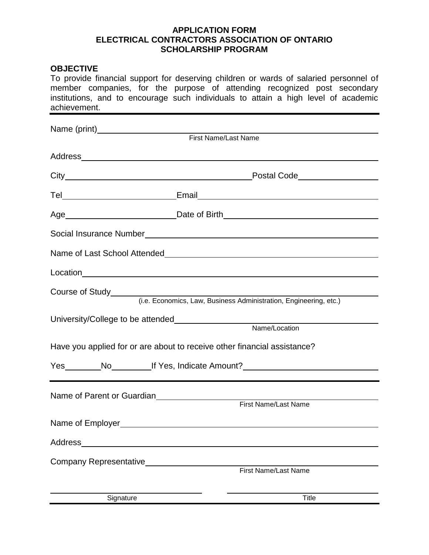#### **APPLICATION FORM ELECTRICAL CONTRACTORS ASSOCIATION OF ONTARIO SCHOLARSHIP PROGRAM**

#### **OBJECTIVE**

To provide financial support for deserving children or wards of salaried personnel of member companies, for the purpose of attending recognized post secondary institutions, and to encourage such individuals to attain a high level of academic achievement.

|                                                                          | Postal Code___________________                                                       |
|--------------------------------------------------------------------------|--------------------------------------------------------------------------------------|
|                                                                          |                                                                                      |
|                                                                          |                                                                                      |
|                                                                          |                                                                                      |
|                                                                          | Name of Last School Attended<br>Name of Last School Attended                         |
|                                                                          |                                                                                      |
|                                                                          | Course of Study<br>(i.e. Economics, Law, Business Administration, Engineering, etc.) |
|                                                                          |                                                                                      |
|                                                                          |                                                                                      |
| Have you applied for or are about to receive other financial assistance? |                                                                                      |
|                                                                          | Yes _________No_____________If Yes, Indicate Amount?____________________________     |
|                                                                          |                                                                                      |
| Name of Parent or Guardian<br><u>Name</u> of Parent or Guardian          |                                                                                      |
|                                                                          | First Name/Last Name                                                                 |
|                                                                          |                                                                                      |
|                                                                          |                                                                                      |
| Company Representative                                                   |                                                                                      |
|                                                                          | First Name/Last Name                                                                 |
|                                                                          |                                                                                      |
| Signature                                                                | Title                                                                                |